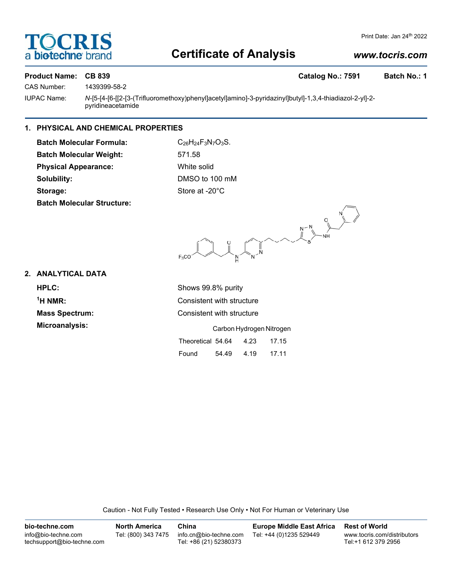# **TOCRIS** a **bio-techne** bi

## Print Date: Jan 24th 2022

# **Certificate of Analysis**

# *www.tocris.com*

**Product Name: CB 839 Catalog No.: 7591 Batch No.: 1**

CAS Number: 1439399-58-2

IUPAC Name: *N*-[5-[4-[6-[[2-[3-(Trifluoromethoxy)phenyl]acetyl]amino]-3-pyridazinyl]butyl]-1,3,4-thiadiazol-2-yl]-2 pyridineacetamide

# **1. PHYSICAL AND CHEMICAL PROPERTIES**

**Batch Molecular Formula:** C<sub>26</sub>H<sub>24</sub>F<sub>3</sub>N<sub>7</sub>O<sub>3</sub>S. **Batch Molecular Weight:** 571.58 **Physical Appearance:** White solid **Solubility:** DMSO to 100 mM Storage: Store at -20°C **Batch Molecular Structure:**

 $\begin{picture}(180,10) \put(0,0){\line(1,0){155}} \put(15,0){\line(1,0){155}} \put(15,0){\line(1,0){155}} \put(15,0){\line(1,0){155}} \put(15,0){\line(1,0){155}} \put(15,0){\line(1,0){155}} \put(15,0){\line(1,0){155}} \put(15,0){\line(1,0){155}} \put(15,0){\line(1,0){155}} \put(15,0){\line(1,0){155}} \put(15,0){\line(1,0){155}}$  $\begin{matrix} \searrow \\ \searrow \\ \searrow \end{matrix}$ 

**2. ANALYTICAL DATA**

**HPLC:** Shows 99.8% purity  $<sup>1</sup>H NMR$ :</sup> **Microanalysis:** 

**Consistent with structure Mass Spectrum:** Consistent with structure

|                   | Carbon Hydrogen Nitrogen |      |       |  |  |
|-------------------|--------------------------|------|-------|--|--|
| Theoretical 54.64 |                          | 4.23 | 17.15 |  |  |
| Found             | 54.49                    | 4.19 | 17.11 |  |  |

Caution - Not Fully Tested • Research Use Only • Not For Human or Veterinary Use

| bio-techne.com                                    | <b>North America</b> | China                                            | <b>Europe Middle East Africa</b> | <b>Rest of World</b>                               |
|---------------------------------------------------|----------------------|--------------------------------------------------|----------------------------------|----------------------------------------------------|
| info@bio-techne.com<br>techsupport@bio-techne.com | Tel: (800) 343 7475  | info.cn@bio-techne.com<br>Tel: +86 (21) 52380373 | Tel: +44 (0)1235 529449          | www.tocris.com/distributors<br>Tel:+1 612 379 2956 |